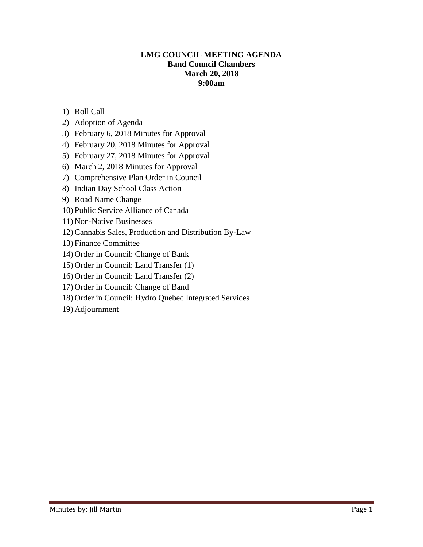### **LMG COUNCIL MEETING AGENDA Band Council Chambers March 20, 2018 9:00am**

- 1) Roll Call
- 2) Adoption of Agenda
- 3) February 6, 2018 Minutes for Approval
- 4) February 20, 2018 Minutes for Approval
- 5) February 27, 2018 Minutes for Approval
- 6) March 2, 2018 Minutes for Approval
- 7) Comprehensive Plan Order in Council
- 8) Indian Day School Class Action
- 9) Road Name Change
- 10) Public Service Alliance of Canada
- 11) Non-Native Businesses
- 12)Cannabis Sales, Production and Distribution By-Law
- 13) Finance Committee
- 14) Order in Council: Change of Bank
- 15) Order in Council: Land Transfer (1)
- 16) Order in Council: Land Transfer (2)
- 17) Order in Council: Change of Band
- 18) Order in Council: Hydro Quebec Integrated Services
- 19) Adjournment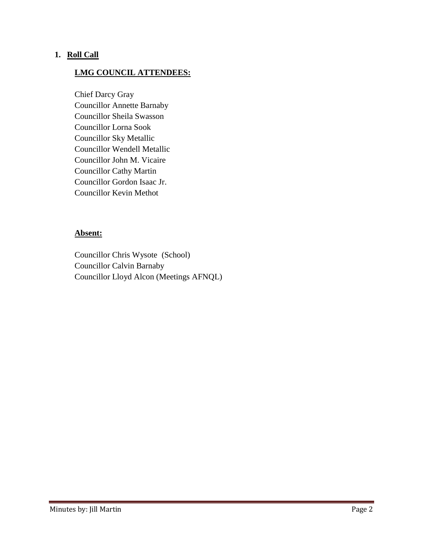### **1. Roll Call**

#### **LMG COUNCIL ATTENDEES:**

Chief Darcy Gray Councillor Annette Barnaby Councillor Sheila Swasson Councillor Lorna Sook Councillor Sky Metallic Councillor Wendell Metallic Councillor John M. Vicaire Councillor Cathy Martin Councillor Gordon Isaac Jr. Councillor Kevin Methot

#### **Absent:**

Councillor Chris Wysote (School) Councillor Calvin Barnaby Councillor Lloyd Alcon (Meetings AFNQL)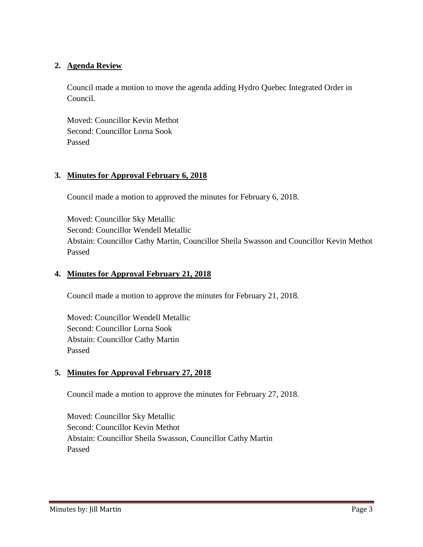## **2. Agenda Review**

Council made a motion to move the agenda adding Hydro Quebec Integrated Order in Council.

Moved: Councillor Kevin Methot Second: Councillor Lorna Sook Passed

## **3. Minutes for Approval February 6, 2018**

Council made a motion to approved the minutes for February 6, 2018.

Moved: Councillor Sky Metallic Second: Councillor Wendell Metallic Abstain: Councillor Cathy Martin, Councillor Sheila Swasson and Councillor Kevin Methot Passed

### **4. Minutes for Approval February 21, 2018**

Council made a motion to approve the minutes for February 21, 2018.

Moved: Councillor Wendell Metallic Second: Councillor Lorna Sook Abstain: Councillor Cathy Martin Passed

### **5. Minutes for Approval February 27, 2018**

Council made a motion to approve the minutes for February 27, 2018.

Moved: Councillor Sky Metallic Second: Councillor Kevin Methot Abstain: Councillor Sheila Swasson, Councillor Cathy Martin Passed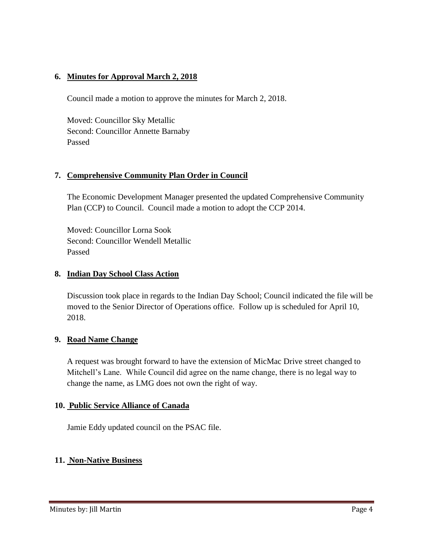# **6. Minutes for Approval March 2, 2018**

Council made a motion to approve the minutes for March 2, 2018.

Moved: Councillor Sky Metallic Second: Councillor Annette Barnaby Passed

## **7. Comprehensive Community Plan Order in Council**

The Economic Development Manager presented the updated Comprehensive Community Plan (CCP) to Council. Council made a motion to adopt the CCP 2014.

Moved: Councillor Lorna Sook Second: Councillor Wendell Metallic Passed

### **8. Indian Day School Class Action**

Discussion took place in regards to the Indian Day School; Council indicated the file will be moved to the Senior Director of Operations office. Follow up is scheduled for April 10, 2018.

### **9. Road Name Change**

A request was brought forward to have the extension of MicMac Drive street changed to Mitchell's Lane. While Council did agree on the name change, there is no legal way to change the name, as LMG does not own the right of way.

### **10. Public Service Alliance of Canada**

Jamie Eddy updated council on the PSAC file.

# **11. Non-Native Business**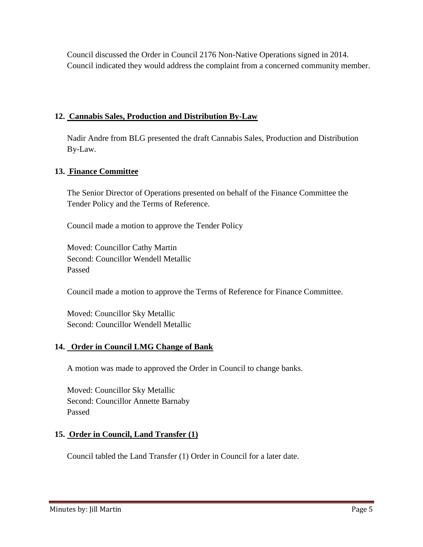Council discussed the Order in Council 2176 Non-Native Operations signed in 2014. Council indicated they would address the complaint from a concerned community member.

## **12. Cannabis Sales, Production and Distribution By-Law**

Nadir Andre from BLG presented the draft Cannabis Sales, Production and Distribution By-Law.

## **13. Finance Committee**

The Senior Director of Operations presented on behalf of the Finance Committee the Tender Policy and the Terms of Reference.

Council made a motion to approve the Tender Policy

Moved: Councillor Cathy Martin Second: Councillor Wendell Metallic Passed

Council made a motion to approve the Terms of Reference for Finance Committee.

Moved: Councillor Sky Metallic Second: Councillor Wendell Metallic

# **14. Order in Council LMG Change of Bank**

A motion was made to approved the Order in Council to change banks.

Moved: Councillor Sky Metallic Second: Councillor Annette Barnaby Passed

### **15. Order in Council, Land Transfer (1)**

Council tabled the Land Transfer (1) Order in Council for a later date.